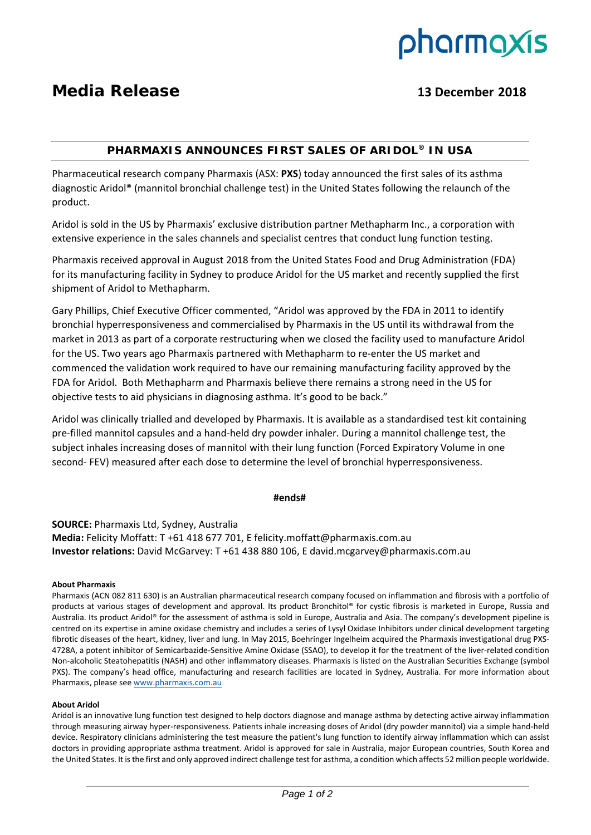

# **Media Release 13 December 2018**

## **PHARMAXIS ANNOUNCES FIRST SALES OF ARIDOL® IN USA**

Pharmaceutical research company Pharmaxis (ASX: **PXS**) today announced the first sales of its asthma diagnostic Aridol® (mannitol bronchial challenge test) in the United States following the relaunch of the product.

Aridol is sold in the US by Pharmaxis' exclusive distribution partner Methapharm Inc., a corporation with extensive experience in the sales channels and specialist centres that conduct lung function testing.

Pharmaxis received approval in August 2018 from the United States Food and Drug Administration (FDA) for its manufacturing facility in Sydney to produce Aridol for the US market and recently supplied the first shipment of Aridol to Methapharm.

Gary Phillips, Chief Executive Officer commented, "Aridol was approved by the FDA in 2011 to identify bronchial hyperresponsiveness and commercialised by Pharmaxis in the US until its withdrawal from the market in 2013 as part of a corporate restructuring when we closed the facility used to manufacture Aridol for the US. Two years ago Pharmaxis partnered with Methapharm to re-enter the US market and commenced the validation work required to have our remaining manufacturing facility approved by the FDA for Aridol. Both Methapharm and Pharmaxis believe there remains a strong need in the US for objective tests to aid physicians in diagnosing asthma. It's good to be back."

Aridol was clinically trialled and developed by Pharmaxis. It is available as a standardised test kit containing pre‐filled mannitol capsules and a hand‐held dry powder inhaler. During a mannitol challenge test, the subject inhales increasing doses of mannitol with their lung function (Forced Expiratory Volume in one second-FEV) measured after each dose to determine the level of bronchial hyperresponsiveness.

#### **#ends#**

**SOURCE:** Pharmaxis Ltd, Sydney, Australia **Media:** Felicity Moffatt: T +61 418 677 701, E felicity.moffatt@pharmaxis.com.au **Investor relations:** David McGarvey: T +61 438 880 106, E david.mcgarvey@pharmaxis.com.au

#### **About Pharmaxis**

Pharmaxis (ACN 082 811 630) is an Australian pharmaceutical research company focused on inflammation and fibrosis with a portfolio of products at various stages of development and approval. Its product Bronchitol® for cystic fibrosis is marketed in Europe, Russia and Australia. Its product Aridol® for the assessment of asthma is sold in Europe, Australia and Asia. The company's development pipeline is centred on its expertise in amine oxidase chemistry and includes a series of Lysyl Oxidase Inhibitors under clinical development targeting fibrotic diseases of the heart, kidney, liver and lung. In May 2015, Boehringer Ingelheim acquired the Pharmaxis investigational drug PXS-4728A, a potent inhibitor of Semicarbazide‐Sensitive Amine Oxidase (SSAO), to develop it for the treatment of the liver‐related condition Non‐alcoholic Steatohepatitis (NASH) and other inflammatory diseases. Pharmaxis is listed on the Australian Securities Exchange (symbol PXS). The company's head office, manufacturing and research facilities are located in Sydney, Australia. For more information about Pharmaxis, please see www.pharmaxis.com.au

#### **About Aridol**

Aridol is an innovative lung function test designed to help doctors diagnose and manage asthma by detecting active airway inflammation through measuring airway hyper‐responsiveness. Patients inhale increasing doses of Aridol (dry powder mannitol) via a simple hand‐held device. Respiratory clinicians administering the test measure the patient's lung function to identify airway inflammation which can assist doctors in providing appropriate asthma treatment. Aridol is approved for sale in Australia, major European countries, South Korea and the United States. It isthe first and only approved indirect challenge test for asthma, a condition which affects 52 million people worldwide.